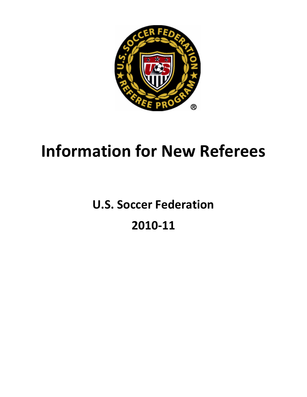

# Information for New Referees

## U.S. Soccer Federation

## 2010-11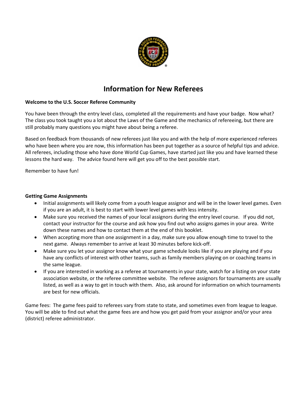

### Information for New Referees

#### Welcome to the U.S. Soccer Referee Community

You have been through the entry level class, completed all the requirements and have your badge. Now what? The class you took taught you a lot about the Laws of the Game and the mechanics of refereeing, but there are still probably many questions you might have about being a referee.

Based on feedback from thousands of new referees just like you and with the help of more experienced referees who have been where you are now, this information has been put together as a source of helpful tips and advice. All referees, including those who have done World Cup Games, have started just like you and have learned these lessons the hard way. The advice found here will get you off to the best possible start.

Remember to have fun!

#### Getting Game Assignments

- Initial assignments will likely come from a youth league assignor and will be in the lower level games. Even if you are an adult, it is best to start with lower level games with less intensity.
- Make sure you received the names of your local assignors during the entry level course. If you did not, contact your instructor for the course and ask how you find out who assigns games in your area. Write down these names and how to contact them at the end of this booklet.
- When accepting more than one assignment in a day, make sure you allow enough time to travel to the next game. Always remember to arrive at least 30 minutes before kick-off.
- Make sure you let your assignor know what your game schedule looks like if you are playing and if you have any conflicts of interest with other teams, such as family members playing on or coaching teams in the same league.
- If you are interested in working as a referee at tournaments in your state, watch for a listing on your state association website, or the referee committee website. The referee assignors for tournaments are usually listed, as well as a way to get in touch with them. Also, ask around for information on which tournaments are best for new officials.

Game fees: The game fees paid to referees vary from state to state, and sometimes even from league to league. You will be able to find out what the game fees are and how you get paid from your assignor and/or your area (district) referee administrator.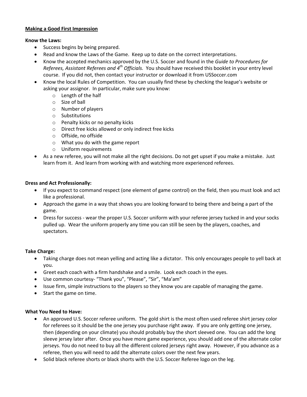#### Making a Good First Impression

#### Know the Laws:

- Success begins by being prepared.
- Read and know the Laws of the Game. Keep up to date on the correct interpretations.
- Know the accepted mechanics approved by the U.S. Soccer and found in the Guide to Procedures for Referees, Assistant Referees and  $4<sup>th</sup>$  Officials. You should have received this booklet in your entry level course. If you did not, then contact your instructor or download it from USSoccer.com
- Know the local Rules of Competition. You can usually find these by checking the league's website or asking your assignor. In particular, make sure you know:
	- o Length of the half
	- o Size of ball
	- o Number of players
	- o Substitutions
	- o Penalty kicks or no penalty kicks
	- o Direct free kicks allowed or only indirect free kicks
	- o Offside, no offside
	- o What you do with the game report
	- o Uniform requirements
- As a new referee, you will not make all the right decisions. Do not get upset if you make a mistake. Just learn from it. And learn from working with and watching more experienced referees.

#### Dress and Act Professionally:

- If you expect to command respect (one element of game control) on the field, then you must look and act like a professional.
- Approach the game in a way that shows you are looking forward to being there and being a part of the game.
- Dress for success wear the proper U.S. Soccer uniform with your referee jersey tucked in and your socks pulled up. Wear the uniform properly any time you can still be seen by the players, coaches, and spectators.

#### Take Charge:

- Taking charge does not mean yelling and acting like a dictator. This only encourages people to yell back at you.
- Greet each coach with a firm handshake and a smile. Look each coach in the eyes.
- Use common courtesy- "Thank you", "Please", "Sir", "Ma'am"
- Issue firm, simple instructions to the players so they know you are capable of managing the game.
- Start the game on time.

#### What You Need to Have:

- An approved U.S. Soccer referee uniform. The gold shirt is the most often used referee shirt jersey color for referees so it should be the one jersey you purchase right away. If you are only getting one jersey, then (depending on your climate) you should probably buy the short sleeved one. You can add the long sleeve jersey later after. Once you have more game experience, you should add one of the alternate color jerseys. You do not need to buy all the different colored jerseys right away. However, if you advance as a referee, then you will need to add the alternate colors over the next few years.
- Solid black referee shorts or black shorts with the U.S. Soccer Referee logo on the leg.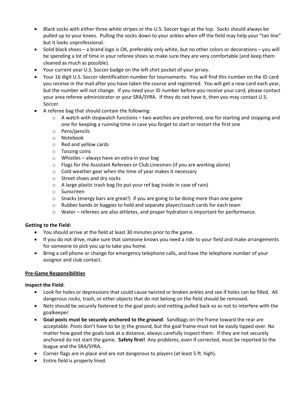- Black socks with either three white stripes or the U.S. Soccer logo at the top. Socks should always be pulled up to your knees. Pulling the socks down to your ankles when off the field may help your "tan line" but it looks unprofessional.
- Solid black shoes a brand logo is OK, preferably only white, but no other colors or decorations you will be spending a lot of time in your referee shoes so make sure they are very comfortable (and keep them cleaned as much as possible).
- Your current year U.S. Soccer badge on the left shirt pocket of your jersey.
- Your 16 digit U.S. Soccer identification number for tournaments. You will find this number on the ID card you receive in the mail after you have taken the course and registered. You will get a new card each year, but the number will not change. If you need your ID number before you receive your card, please contact your area referee administrator or your SRA/SYRA. If they do not have it, then you may contact U.S. Soccer.
- A referee bag that should contain the following:
	- $\circ$  A watch with stopwatch functions two watches are preferred, one for starting and stopping and one for keeping a running time in case you forget to start or restart the first one
	- o Pens/pencils
	- o Notebook
	- o Red and yellow cards
	- o Tossing coins
	- $\circ$  Whistles always have an extra in your bag
	- o Flags for the Assistant Referees or Club Linesmen (if you are working alone)
	- o Cold weather gear when the time of year makes it necessary
	- o Street shoes and dry socks
	- o A large plastic trash bag (to put your ref bag inside in case of rain)
	- o Sunscreen
	- $\circ$  Snacks (energy bars are great!) if you are going to be doing more than one game
	- $\circ$  Rubber bands or baggies to hold and separate player/coach cards for each team
	- $\circ$  Water referees are also athletes, and proper hydration is important for performance.

#### Getting to the Field:

- You should arrive at the field at least 30 minutes prior to the game.
- If you do not drive, make sure that someone knows you need a ride to your field and make arrangements for someone to pick you up to take you home.
- Bring a cell phone or change for emergency telephone calls, and have the telephone number of your assignor and club contact.

#### Pre-Game Responsibilities

#### Inspect the Field:

- Look for holes or depressions that could cause twisted or broken ankles and see if holes can be filled. All dangerous rocks, trash, or other objects that do not belong on the field should be removed.
- Nets should be securely fastened to the goal posts and netting pulled back so as not to interfere with the goalkeeper.
- Goal posts must be securely anchored to the ground. Sandbags on the frame toward the rear are acceptable. Posts don't have to be in the ground, but the goal frame must not be easily tipped over. No matter how good the goals look at a distance, always carefully inspect them. If they are not securely anchored do not start the game. Safety first! Any problems, even if corrected, must be reported to the league and the SRA/SYRA.
- Corner flags are in place and are not dangerous to players (at least 5 ft. high).
- Entire field is properly lined.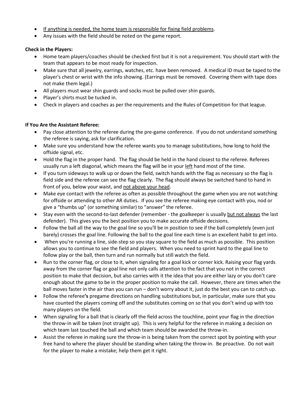- If anything is needed, the home team is responsible for fixing field problems.
- Any issues with the field should be noted on the game report.

#### Check in the Players:

- Home team players/coaches should be checked first but it is not a requirement. You should start with the team that appears to be most ready for inspection.
- Make sure that all jewelry, earrings, watches, etc. have been removed. A medical ID must be taped to the player's chest or wrist with the info showing. (Earrings must be removed. Covering them with tape does not make them legal.)
- All players must wear shin guards and socks must be pulled over shin guards.
- Player's shirts must be tucked in.
- Check in players and coaches as per the requirements and the Rules of Competition for that league.

#### If You Are the Assistant Referee:

- Pay close attention to the referee during the pre-game conference. If you do not understand something the referee is saying, ask for clarification.
- Make sure you understand how the referee wants you to manage substitutions, how long to hold the offside signal, etc.
- Hold the flag in the proper hand. The flag should be held in the hand closest to the referee. Referees usually run a left diagonal, which means the flag will be in your left hand most of the time.
- If you turn sideways to walk up or down the field, switch hands with the flag as necessary so the flag is field side and the referee can see the flag clearly. The flag should always be switched hand to hand in front of you, below your waist, and not above your head.
- Make eye contact with the referee as often as possible throughout the game when you are not watching for offside or attending to other AR duties. If you see the referee making eye contact with you, nod or give a "thumbs up" (or something similar) to "answer" the referee.
- Stay even with the second-to-last defender (remember the goalkeeper is usually but not always the last defender). This gives you the best position you to make accurate offside decisions.
- Follow the ball all the way to the goal line so you'll be in position to see if the ball completely (even just barely) crosses the goal line. Following the ball to the goal line each time is an excellent habit to get into.
- When you're running a line, side-step so you stay square to the field as much as possible. This position allows you to continue to see the field and players. When you need to sprint hard to the goal line to follow play or the ball, then turn and run normally but still watch the field.
- Run to the corner flag, or close to it, when signaling for a goal kick or corner kick. Raising your flag yards away from the corner flag or goal line not only calls attention to the fact that you not in the correct position to make that decision, but also carries with it the idea that you are either lazy or you don't care enough about the game to be in the proper position to make the call. However, there are times when the ball moves faster in the air than you can run – don't worry about it, just do the best you can to catch up.
- Follow the referee's pregame directions on handling substitutions but, in particular, make sure that you have counted the players coming off and the substitutes coming on so that you don't wind up with too many players on the field.
- When signaling for a ball that is clearly off the field across the touchline, point your flag in the direction the throw-in will be taken (not straight up). This is very helpful for the referee in making a decision on which team last touched the ball and which team should be awarded the throw-in.
- Assist the referee in making sure the throw-in is being taken from the correct spot by pointing with your free hand to where the player should be standing when taking the throw-in. Be proactive. Do not wait for the player to make a mistake; help them get it right.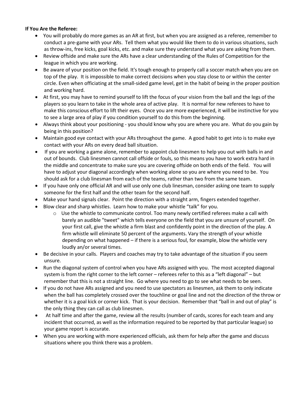#### If You Are the Referee:

- You will probably do more games as an AR at first, but when you are assigned as a referee, remember to conduct a pre-game with your ARs. Tell them what you would like them to do in various situations, such as throw-ins, free kicks, goal kicks, etc. and make sure they understand what you are asking from them.
- Review offside and make sure the ARs have a clear understanding of the Rules of Competition for the league in which you are working.
- Be aware of your position on the field. It's tough enough to properly call a soccer match when you are on top of the play. It is impossible to make correct decisions when you stay close to or within the center circle. Even when officiating at the small-sided game level, get in the habit of being in the proper position and working hard.
- At first, you may have to remind yourself to lift the focus of your vision from the ball and the legs of the players so you learn to take in the whole area of active play. It is normal for new referees to have to make this conscious effort to lift their eyes. Once you are more experienced, it will be instinctive for you to see a large area of play if you condition yourself to do this from the beginning.
- Always think about your positioning you should know why you are where you are. What do you gain by being in this position?
- Maintain good eye contact with your ARs throughout the game. A good habit to get into is to make eye contact with your ARs on every dead ball situation.
- If you are working a game alone, remember to appoint club linesmen to help you out with balls in and out of bounds. Club linesmen cannot call offside or fouls, so this means you have to work extra hard in the middle and concentrate to make sure you are covering offside on both ends of the field. You will have to adjust your diagonal accordingly when working alone so you are where you need to be. You should ask for a club linesman from each of the teams, rather than two from the same team.
- If you have only one official AR and will use only one club linesman, consider asking one team to supply someone for the first half and the other team for the second half.
- Make your hand signals clear. Point the direction with a straight arm, fingers extended together.
- Blow clear and sharp whistles. Learn how to make your whistle "talk" for you.
	- $\circ$  Use the whistle to communicate control. Too many newly certified referees make a call with barely an audible "tweet" which tells everyone on the field that you are unsure of yourself. On your first call, give the whistle a firm blast and confidently point in the direction of the play. A firm whistle will eliminate 50 percent of the arguments. Vary the strength of your whistle depending on what happened – if there is a serious foul, for example, blow the whistle very loudly an/or several times.
- Be decisive in your calls. Players and coaches may try to take advantage of the situation if you seem unsure.
- Run the diagonal system of control when you have ARs assigned with you. The most accepted diagonal system is from the right corner to the left corner – referees refer to this as a "left diagonal" – but remember that this is not a straight line. Go where you need to go to see what needs to be seen.
- If you do not have ARs assigned and you need to use spectators as linesmen, ask them to only indicate when the ball has completely crossed over the touchline or goal line and not the direction of the throw or whether it is a goal kick or corner kick. That is your decision. Remember that "ball in and out of play" is the only thing they can call as club linesmen.
- At half time and after the game, review all the results (number of cards, scores for each team and any incident that occurred, as well as the information required to be reported by that particular league) so your game report is accurate.
- When you are working with more experienced officials, ask them for help after the game and discuss situations where you think there was a problem.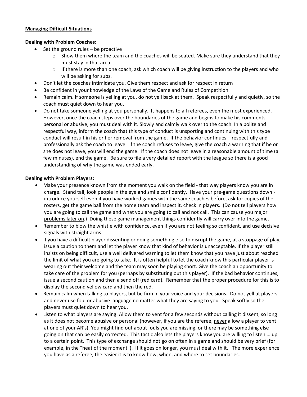#### Managing Difficult Situations

#### Dealing with Problem Coaches:

- Set the ground rules be proactive
	- $\circ$  Show them where the team and the coaches will be seated. Make sure they understand that they must stay in that area.
	- $\circ$  If there is more than one coach, ask which coach will be giving instruction to the players and who will be asking for subs.
- Don't let the coaches intimidate you. Give them respect and ask for respect in return
- Be confident in your knowledge of the Laws of the Game and Rules of Competition.
- Remain calm. If someone is yelling at you, do not yell back at them. Speak respectfully and quietly, so the coach must quiet down to hear you.
- Do not take someone yelling at you personally. It happens to all referees, even the most experienced. However, once the coach steps over the boundaries of the game and begins to make his comments personal or abusive, you must deal with it. Slowly and calmly walk over to the coach. In a polite and respectful way, inform the coach that this type of conduct is unsporting and continuing with this type conduct will result in his or her removal from the game. If the behavior continues – respectfully and professionally ask the coach to leave. If the coach refuses to leave, give the coach a warning that if he or she does not leave, you will end the game. If the coach does not leave in a reasonable amount of time (a few minutes), end the game. Be sure to file a very detailed report with the league so there is a good understanding of why the game was ended early.

#### Dealing with Problem Players:

- Make your presence known from the moment you walk on the field that way players know you are in charge. Stand tall, look people in the eye and smile confidently. Have your pre-game questions down introduce yourself even if you have worked games with the same coaches before, ask for copies of the rosters, get the game ball from the home team and inspect it, check in players. (Do not tell players how you are going to call the game and what you are going to call and not call. This can cause you major problems later on.) Doing these game management things confidently will carry over into the game.
- Remember to blow the whistle with confidence, even if you are not feeling so confident, and use decisive signals with straight arms.
- If you have a difficult player dissenting or doing something else to disrupt the game, at a stoppage of play, issue a caution to them and let the player know that kind of behavior is unacceptable. If the player still insists on being difficult, use a well delivered warning to let them know that you have just about reached the limit of what you are going to take. It is often helpful to let the coach know this particular player is wearing out their welcome and the team may soon be playing short. Give the coach an opportunity to take care of the problem for you (perhaps by substituting out this player). If the bad behavior continues, issue a second caution and then a send off (red card). Remember that the proper procedure for this is to display the second yellow card and then the red.
- Remain calm when talking to players, but be firm in your voice and your decisions. Do not yell at players and never use foul or abusive language no matter what they are saying to you. Speak softly so the players must quiet down to hear you.
- Listen to what players are saying. Allow them to vent for a few seconds without calling it dissent, so long as it does not become abusive or personal (however, if you are the referee, never allow a player to vent at one of your AR's). You might find out about fouls you are missing, or there may be something else going on that can be easily corrected. This tactic also lets the players know you are willing to listen … up to a certain point. This type of exchange should not go on often in a game and should be very brief (for example, in the "heat of the moment"). If it goes on longer, you must deal with it. The more experience you have as a referee, the easier it is to know how, when, and where to set boundaries.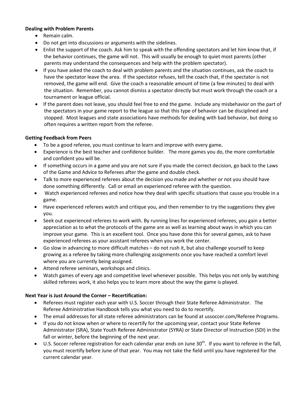#### Dealing with Problem Parents

- Remain calm.
- Do not get into discussions or arguments with the sidelines.
- Enlist the support of the coach. Ask him to speak with the offending spectators and let him know that, if the behavior continues, the game will not. This will usually be enough to quiet most parents (other parents may understand the consequences and help with the problem spectator).
- If you have asked the coach to deal with problem parents and the situation continues, ask the coach to have the spectator leave the area. If the spectator refuses, tell the coach that, if the spectator is not removed, the game will end. Give the coach a reasonable amount of time (a few minutes) to deal with the situation. Remember, you cannot dismiss a spectator directly but must work through the coach or a tournament or league official.
- If the parent does not leave, you should feel free to end the game. Include any misbehavior on the part of the spectators in your game report to the league so that this type of behavior can be disciplined and stopped. Most leagues and state associations have methods for dealing with bad behavior, but doing so often requires a written report from the referee.

#### Getting Feedback from Peers

- To be a good referee, you must continue to learn and improve with every game.
- Experience is the best teacher and confidence builder. The more games you do, the more comfortable and confident you will be.
- If something occurs in a game and you are not sure if you made the correct decision, go back to the Laws of the Game and Advice to Referees after the game and double check.
- Talk to more experienced referees about the decision you made and whether or not you should have done something differently. Call or email an experienced referee with the question.
- Watch experienced referees and notice how they deal with specific situations that cause you trouble in a game.
- Have experienced referees watch and critique you, and then remember to try the suggestions they give you.
- Seek out experienced referees to work with. By running lines for experienced referees, you gain a better appreciation as to what the protocols of the game are as well as learning about ways in which you can improve your game. This is an excellent tool. Once you have done this for several games, ask to have experienced referees as your assistant referees when you work the center.
- Go slow in advancing to more difficult matches do not rush it, but also challenge yourself to keep growing as a referee by taking more challenging assignments once you have reached a comfort level where you are currently being assigned.
- Attend referee seminars, workshops and clinics.
- Watch games of every age and competitive level whenever possible. This helps you not only by watching skilled referees work, it also helps you to learn more about the way the game is played.

#### Next Year is Just Around the Corner – Recertification:

- Referees must register each year with U.S. Soccer through their State Referee Administrator. The Referee Administrative Handbook tells you what you need to do to recertify.
- The email addresses for all state referee administrators can be found at ussoccer.com/Referee Programs.
- If you do not know when or where to recertify for the upcoming year, contact your State Referee Administrator (SRA), State Youth Referee Administrator (SYRA) or State Director of Instruction (SDI) in the fall or winter, before the beginning of the next year.
- $\bullet$  U.S. Soccer referee registration for each calendar year ends on June 30<sup>th</sup>. If you want to referee in the fall, you must recertify before June of that year. You may not take the field until you have registered for the current calendar year.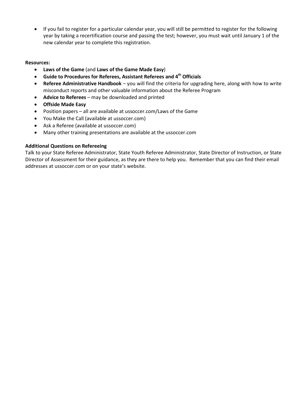• If you fail to register for a particular calendar year, you will still be permitted to register for the following year by taking a recertification course and passing the test; however, you must wait until January 1 of the new calendar year to complete this registration.

#### Resources:

- Laws of the Game (and Laws of the Game Made Easy)
- Guide to Procedures for Referees, Assistant Referees and 4<sup>th</sup> Officials
- Referee Administrative Handbook you will find the criteria for upgrading here, along with how to write misconduct reports and other valuable information about the Referee Program
- Advice to Referees may be downloaded and printed
- Offside Made Easy
- Position papers all are available at ussoccer.com/Laws of the Game
- You Make the Call (available at ussoccer.com)
- Ask a Referee (available at ussoccer.com)
- Many other training presentations are available at the ussoccer.com

#### Additional Questions on Refereeing

Talk to your State Referee Administrator, State Youth Referee Administrator, State Director of Instruction, or State Director of Assessment for their guidance, as they are there to help you. Remember that you can find their email addresses at ussoccer.com or on your state's website.